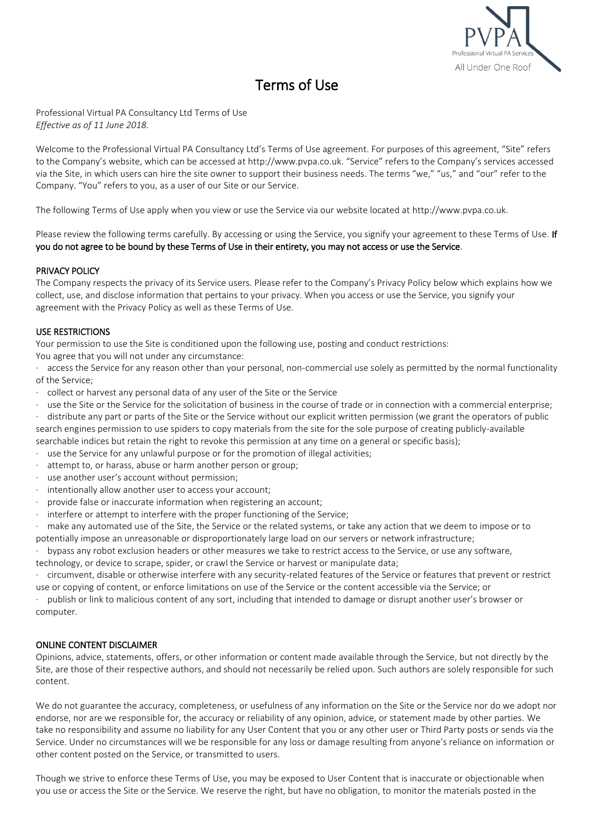

# Terms of Use

Professional Virtual PA Consultancy Ltd Terms of Use *Effective as of 11 June 2018.*

Welcome to the Professional Virtual PA Consultancy Ltd's Terms of Use agreement. For purposes of this agreement, "Site" refers to the Company's website, which can be accessed at http://www.pvpa.co.uk. "Service" refers to the Company's services accessed via the Site, in which users can hire the site owner to support their business needs. The terms "we," "us," and "our" refer to the Company. "You" refers to you, as a user of our Site or our Service.

The following Terms of Use apply when you view or use the Service via our website located at http://www.pvpa.co.uk.

Please review the following terms carefully. By accessing or using the Service, you signify your agreement to these Terms of Use. If you do not agree to be bound by these Terms of Use in their entirety, you may not access or use the Service.

## PRIVACY POLICY

The Company respects the privacy of its Service users. Please refer to the Company's Privacy Policy below which explains how we collect, use, and disclose information that pertains to your privacy. When you access or use the Service, you signify your agreement with the Privacy Policy as well as these Terms of Use.

## USE RESTRICTIONS

Your permission to use the Site is conditioned upon the following use, posting and conduct restrictions:

You agree that you will not under any circumstance:

access the Service for any reason other than your personal, non-commercial use solely as permitted by the normal functionality of the Service;

- · collect or harvest any personal data of any user of the Site or the Service
- · use the Site or the Service for the solicitation of business in the course of trade or in connection with a commercial enterprise;
- distribute any part or parts of the Site or the Service without our explicit written permission (we grant the operators of public search engines permission to use spiders to copy materials from the site for the sole purpose of creating publicly-available

searchable indices but retain the right to revoke this permission at any time on a general or specific basis);

- use the Service for any unlawful purpose or for the promotion of illegal activities;
- attempt to, or harass, abuse or harm another person or group;
- use another user's account without permission;
- intentionally allow another user to access your account;
- provide false or inaccurate information when registering an account;
- interfere or attempt to interfere with the proper functioning of the Service;

make any automated use of the Site, the Service or the related systems, or take any action that we deem to impose or to potentially impose an unreasonable or disproportionately large load on our servers or network infrastructure;

· bypass any robot exclusion headers or other measures we take to restrict access to the Service, or use any software,

technology, or device to scrape, spider, or crawl the Service or harvest or manipulate data;

· circumvent, disable or otherwise interfere with any security-related features of the Service or features that prevent or restrict use or copying of content, or enforce limitations on use of the Service or the content accessible via the Service; or

· publish or link to malicious content of any sort, including that intended to damage or disrupt another user's browser or computer.

## ONLINE CONTENT DISCLAIMER

Opinions, advice, statements, offers, or other information or content made available through the Service, but not directly by the Site, are those of their respective authors, and should not necessarily be relied upon. Such authors are solely responsible for such content.

We do not guarantee the accuracy, completeness, or usefulness of any information on the Site or the Service nor do we adopt nor endorse, nor are we responsible for, the accuracy or reliability of any opinion, advice, or statement made by other parties. We take no responsibility and assume no liability for any User Content that you or any other user or Third Party posts or sends via the Service. Under no circumstances will we be responsible for any loss or damage resulting from anyone's reliance on information or other content posted on the Service, or transmitted to users.

Though we strive to enforce these Terms of Use, you may be exposed to User Content that is inaccurate or objectionable when you use or access the Site or the Service. We reserve the right, but have no obligation, to monitor the materials posted in the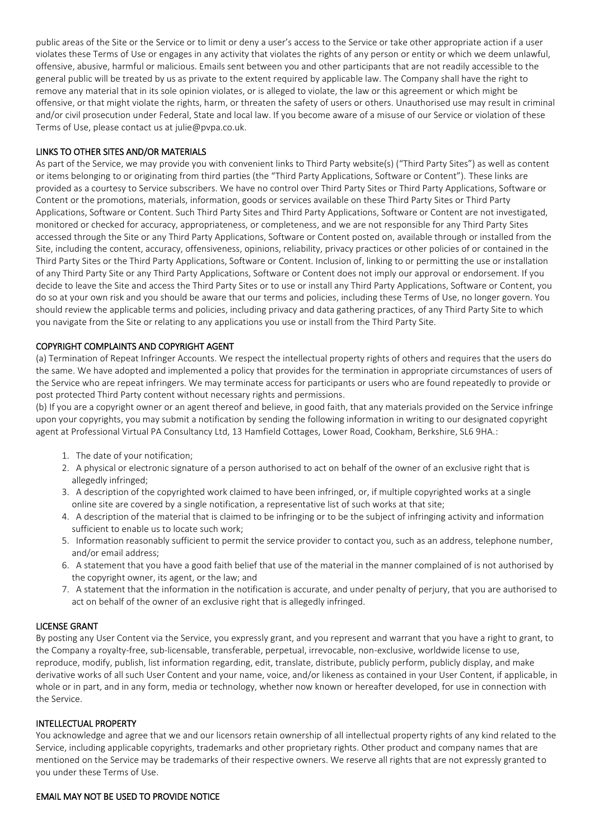public areas of the Site or the Service or to limit or deny a user's access to the Service or take other appropriate action if a user violates these Terms of Use or engages in any activity that violates the rights of any person or entity or which we deem unlawful, offensive, abusive, harmful or malicious. Emails sent between you and other participants that are not readily accessible to the general public will be treated by us as private to the extent required by applicable law. The Company shall have the right to remove any material that in its sole opinion violates, or is alleged to violate, the law or this agreement or which might be offensive, or that might violate the rights, harm, or threaten the safety of users or others. Unauthorised use may result in criminal and/or civil prosecution under Federal, State and local law. If you become aware of a misuse of our Service or violation of these Terms of Use, please contact us at julie@pvpa.co.uk.

## LINKS TO OTHER SITES AND/OR MATERIALS

As part of the Service, we may provide you with convenient links to Third Party website(s) ("Third Party Sites") as well as content or items belonging to or originating from third parties (the "Third Party Applications, Software or Content"). These links are provided as a courtesy to Service subscribers. We have no control over Third Party Sites or Third Party Applications, Software or Content or the promotions, materials, information, goods or services available on these Third Party Sites or Third Party Applications, Software or Content. Such Third Party Sites and Third Party Applications, Software or Content are not investigated, monitored or checked for accuracy, appropriateness, or completeness, and we are not responsible for any Third Party Sites accessed through the Site or any Third Party Applications, Software or Content posted on, available through or installed from the Site, including the content, accuracy, offensiveness, opinions, reliability, privacy practices or other policies of or contained in the Third Party Sites or the Third Party Applications, Software or Content. Inclusion of, linking to or permitting the use or installation of any Third Party Site or any Third Party Applications, Software or Content does not imply our approval or endorsement. If you decide to leave the Site and access the Third Party Sites or to use or install any Third Party Applications, Software or Content, you do so at your own risk and you should be aware that our terms and policies, including these Terms of Use, no longer govern. You should review the applicable terms and policies, including privacy and data gathering practices, of any Third Party Site to which you navigate from the Site or relating to any applications you use or install from the Third Party Site.

#### COPYRIGHT COMPLAINTS AND COPYRIGHT AGENT

(a) Termination of Repeat Infringer Accounts. We respect the intellectual property rights of others and requires that the users do the same. We have adopted and implemented a policy that provides for the termination in appropriate circumstances of users of the Service who are repeat infringers. We may terminate access for participants or users who are found repeatedly to provide or post protected Third Party content without necessary rights and permissions.

(b) If you are a copyright owner or an agent thereof and believe, in good faith, that any materials provided on the Service infringe upon your copyrights, you may submit a notification by sending the following information in writing to our designated copyright agent at Professional Virtual PA Consultancy Ltd, 13 Hamfield Cottages, Lower Road, Cookham, Berkshire, SL6 9HA.:

- 1. The date of your notification;
- 2. A physical or electronic signature of a person authorised to act on behalf of the owner of an exclusive right that is allegedly infringed;
- 3. A description of the copyrighted work claimed to have been infringed, or, if multiple copyrighted works at a single online site are covered by a single notification, a representative list of such works at that site;
- 4. A description of the material that is claimed to be infringing or to be the subject of infringing activity and information sufficient to enable us to locate such work;
- 5. Information reasonably sufficient to permit the service provider to contact you, such as an address, telephone number, and/or email address;
- 6. A statement that you have a good faith belief that use of the material in the manner complained of is not authorised by the copyright owner, its agent, or the law; and
- 7. A statement that the information in the notification is accurate, and under penalty of perjury, that you are authorised to act on behalf of the owner of an exclusive right that is allegedly infringed.

#### LICENSE GRANT

By posting any User Content via the Service, you expressly grant, and you represent and warrant that you have a right to grant, to the Company a royalty-free, sub-licensable, transferable, perpetual, irrevocable, non-exclusive, worldwide license to use, reproduce, modify, publish, list information regarding, edit, translate, distribute, publicly perform, publicly display, and make derivative works of all such User Content and your name, voice, and/or likeness as contained in your User Content, if applicable, in whole or in part, and in any form, media or technology, whether now known or hereafter developed, for use in connection with the Service.

#### INTELLECTUAL PROPERTY

You acknowledge and agree that we and our licensors retain ownership of all intellectual property rights of any kind related to the Service, including applicable copyrights, trademarks and other proprietary rights. Other product and company names that are mentioned on the Service may be trademarks of their respective owners. We reserve all rights that are not expressly granted to you under these Terms of Use.

#### EMAIL MAY NOT BE USED TO PROVIDE NOTICE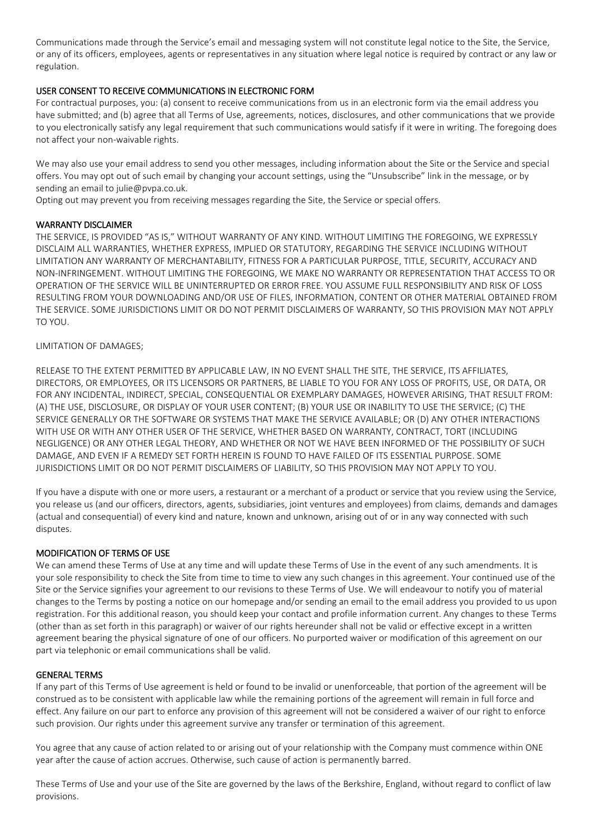Communications made through the Service's email and messaging system will not constitute legal notice to the Site, the Service, or any of its officers, employees, agents or representatives in any situation where legal notice is required by contract or any law or regulation.

# USER CONSENT TO RECEIVE COMMUNICATIONS IN ELECTRONIC FORM

For contractual purposes, you: (a) consent to receive communications from us in an electronic form via the email address you have submitted; and (b) agree that all Terms of Use, agreements, notices, disclosures, and other communications that we provide to you electronically satisfy any legal requirement that such communications would satisfy if it were in writing. The foregoing does not affect your non-waivable rights.

We may also use your email address to send you other messages, including information about the Site or the Service and special offers. You may opt out of such email by changing your account settings, using the "Unsubscribe" link in the message, or by sending an email to julie@pvpa.co.uk.

Opting out may prevent you from receiving messages regarding the Site, the Service or special offers.

## WARRANTY DISCLAIMER

THE SERVICE, IS PROVIDED "AS IS," WITHOUT WARRANTY OF ANY KIND. WITHOUT LIMITING THE FOREGOING, WE EXPRESSLY DISCLAIM ALL WARRANTIES, WHETHER EXPRESS, IMPLIED OR STATUTORY, REGARDING THE SERVICE INCLUDING WITHOUT LIMITATION ANY WARRANTY OF MERCHANTABILITY, FITNESS FOR A PARTICULAR PURPOSE, TITLE, SECURITY, ACCURACY AND NON-INFRINGEMENT. WITHOUT LIMITING THE FOREGOING, WE MAKE NO WARRANTY OR REPRESENTATION THAT ACCESS TO OR OPERATION OF THE SERVICE WILL BE UNINTERRUPTED OR ERROR FREE. YOU ASSUME FULL RESPONSIBILITY AND RISK OF LOSS RESULTING FROM YOUR DOWNLOADING AND/OR USE OF FILES, INFORMATION, CONTENT OR OTHER MATERIAL OBTAINED FROM THE SERVICE. SOME JURISDICTIONS LIMIT OR DO NOT PERMIT DISCLAIMERS OF WARRANTY, SO THIS PROVISION MAY NOT APPLY TO YOU.

## LIMITATION OF DAMAGES;

RELEASE TO THE EXTENT PERMITTED BY APPLICABLE LAW, IN NO EVENT SHALL THE SITE, THE SERVICE, ITS AFFILIATES, DIRECTORS, OR EMPLOYEES, OR ITS LICENSORS OR PARTNERS, BE LIABLE TO YOU FOR ANY LOSS OF PROFITS, USE, OR DATA, OR FOR ANY INCIDENTAL, INDIRECT, SPECIAL, CONSEQUENTIAL OR EXEMPLARY DAMAGES, HOWEVER ARISING, THAT RESULT FROM: (A) THE USE, DISCLOSURE, OR DISPLAY OF YOUR USER CONTENT; (B) YOUR USE OR INABILITY TO USE THE SERVICE; (C) THE SERVICE GENERALLY OR THE SOFTWARE OR SYSTEMS THAT MAKE THE SERVICE AVAILABLE; OR (D) ANY OTHER INTERACTIONS WITH USE OR WITH ANY OTHER USER OF THE SERVICE, WHETHER BASED ON WARRANTY, CONTRACT, TORT (INCLUDING NEGLIGENCE) OR ANY OTHER LEGAL THEORY, AND WHETHER OR NOT WE HAVE BEEN INFORMED OF THE POSSIBILITY OF SUCH DAMAGE, AND EVEN IF A REMEDY SET FORTH HEREIN IS FOUND TO HAVE FAILED OF ITS ESSENTIAL PURPOSE. SOME JURISDICTIONS LIMIT OR DO NOT PERMIT DISCLAIMERS OF LIABILITY, SO THIS PROVISION MAY NOT APPLY TO YOU.

If you have a dispute with one or more users, a restaurant or a merchant of a product or service that you review using the Service, you release us (and our officers, directors, agents, subsidiaries, joint ventures and employees) from claims, demands and damages (actual and consequential) of every kind and nature, known and unknown, arising out of or in any way connected with such disputes.

## MODIFICATION OF TERMS OF USE

We can amend these Terms of Use at any time and will update these Terms of Use in the event of any such amendments. It is your sole responsibility to check the Site from time to time to view any such changes in this agreement. Your continued use of the Site or the Service signifies your agreement to our revisions to these Terms of Use. We will endeavour to notify you of material changes to the Terms by posting a notice on our homepage and/or sending an email to the email address you provided to us upon registration. For this additional reason, you should keep your contact and profile information current. Any changes to these Terms (other than as set forth in this paragraph) or waiver of our rights hereunder shall not be valid or effective except in a written agreement bearing the physical signature of one of our officers. No purported waiver or modification of this agreement on our part via telephonic or email communications shall be valid.

#### GENERAL TERMS

If any part of this Terms of Use agreement is held or found to be invalid or unenforceable, that portion of the agreement will be construed as to be consistent with applicable law while the remaining portions of the agreement will remain in full force and effect. Any failure on our part to enforce any provision of this agreement will not be considered a waiver of our right to enforce such provision. Our rights under this agreement survive any transfer or termination of this agreement.

You agree that any cause of action related to or arising out of your relationship with the Company must commence within ONE year after the cause of action accrues. Otherwise, such cause of action is permanently barred.

These Terms of Use and your use of the Site are governed by the laws of the Berkshire, England, without regard to conflict of law provisions.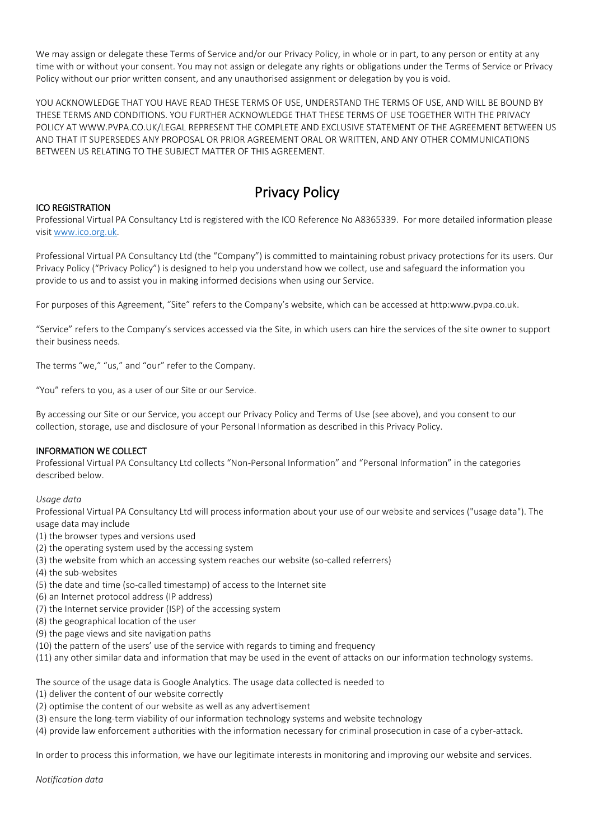We may assign or delegate these Terms of Service and/or our Privacy Policy, in whole or in part, to any person or entity at any time with or without your consent. You may not assign or delegate any rights or obligations under the Terms of Service or Privacy Policy without our prior written consent, and any unauthorised assignment or delegation by you is void.

YOU ACKNOWLEDGE THAT YOU HAVE READ THESE TERMS OF USE, UNDERSTAND THE TERMS OF USE, AND WILL BE BOUND BY THESE TERMS AND CONDITIONS. YOU FURTHER ACKNOWLEDGE THAT THESE TERMS OF USE TOGETHER WITH THE PRIVACY POLICY AT WWW.PVPA.CO.UK/LEGAL REPRESENT THE COMPLETE AND EXCLUSIVE STATEMENT OF THE AGREEMENT BETWEEN US AND THAT IT SUPERSEDES ANY PROPOSAL OR PRIOR AGREEMENT ORAL OR WRITTEN, AND ANY OTHER COMMUNICATIONS BETWEEN US RELATING TO THE SUBJECT MATTER OF THIS AGREEMENT.

# Privacy Policy

#### ICO REGISTRATION

Professional Virtual PA Consultancy Ltd is registered with the ICO Reference No A8365339. For more detailed information please visit [www.ico.org.uk.](http://www.ico.org.uk/)

Professional Virtual PA Consultancy Ltd (the "Company") is committed to maintaining robust privacy protections for its users. Our Privacy Policy ("Privacy Policy") is designed to help you understand how we collect, use and safeguard the information you provide to us and to assist you in making informed decisions when using our Service.

For purposes of this Agreement, "Site" refers to the Company's website, which can be accessed at http:www.pvpa.co.uk.

"Service" refers to the Company's services accessed via the Site, in which users can hire the services of the site owner to support their business needs.

The terms "we," "us," and "our" refer to the Company.

"You" refers to you, as a user of our Site or our Service.

By accessing our Site or our Service, you accept our Privacy Policy and Terms of Use (see above), and you consent to our collection, storage, use and disclosure of your Personal Information as described in this Privacy Policy.

#### INFORMATION WE COLLECT

Professional Virtual PA Consultancy Ltd collects "Non-Personal Information" and "Personal Information" in the categories described below.

*Usage data*

Professional Virtual PA Consultancy Ltd will process information about your use of our website and services ("usage data"). The usage data may include

- (1) the browser types and versions used
- (2) the operating system used by the accessing system
- (3) the website from which an accessing system reaches our website (so-called referrers)
- (4) the sub-websites
- (5) the date and time (so-called timestamp) of access to the Internet site
- (6) an Internet protocol address (IP address)
- (7) the Internet service provider (ISP) of the accessing system
- (8) the geographical location of the user
- (9) the page views and site navigation paths
- (10) the pattern of the users' use of the service with regards to timing and frequency
- (11) any other similar data and information that may be used in the event of attacks on our information technology systems.

The source of the usage data is Google Analytics. The usage data collected is needed to

- (1) deliver the content of our website correctly
- (2) optimise the content of our website as well as any advertisement
- (3) ensure the long-term viability of our information technology systems and website technology
- (4) provide law enforcement authorities with the information necessary for criminal prosecution in case of a cyber-attack.

In order to process this information, we have our legitimate interests in monitoring and improving our website and services.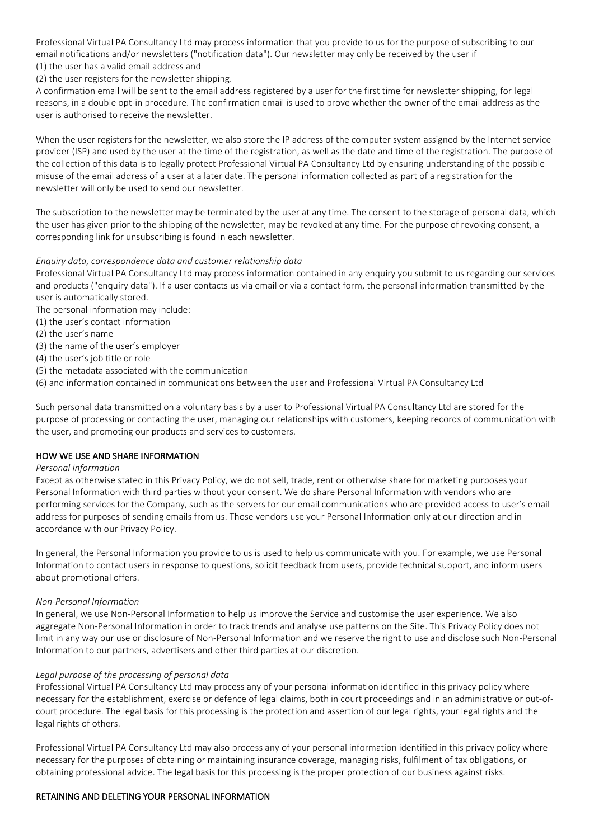Professional Virtual PA Consultancy Ltd may process information that you provide to us for the purpose of subscribing to our email notifications and/or newsletters ("notification data"). Our newsletter may only be received by the user if (1) the user has a valid email address and

(2) the user registers for the newsletter shipping.

A confirmation email will be sent to the email address registered by a user for the first time for newsletter shipping, for legal reasons, in a double opt-in procedure. The confirmation email is used to prove whether the owner of the email address as the user is authorised to receive the newsletter.

When the user registers for the newsletter, we also store the IP address of the computer system assigned by the Internet service provider (ISP) and used by the user at the time of the registration, as well as the date and time of the registration. The purpose of the collection of this data is to legally protect Professional Virtual PA Consultancy Ltd by ensuring understanding of the possible misuse of the email address of a user at a later date. The personal information collected as part of a registration for the newsletter will only be used to send our newsletter.

The subscription to the newsletter may be terminated by the user at any time. The consent to the storage of personal data, which the user has given prior to the shipping of the newsletter, may be revoked at any time. For the purpose of revoking consent, a corresponding link for unsubscribing is found in each newsletter.

#### *Enquiry data, correspondence data and customer relationship data*

Professional Virtual PA Consultancy Ltd may process information contained in any enquiry you submit to us regarding our services and products ("enquiry data"). If a user contacts us via email or via a contact form, the personal information transmitted by the user is automatically stored.

- The personal information may include:
- (1) the user's contact information
- (2) the user's name
- (3) the name of the user's employer
- (4) the user's job title or role
- (5) the metadata associated with the communication
- (6) and information contained in communications between the user and Professional Virtual PA Consultancy Ltd

Such personal data transmitted on a voluntary basis by a user to Professional Virtual PA Consultancy Ltd are stored for the purpose of processing or contacting the user, managing our relationships with customers, keeping records of communication with the user, and promoting our products and services to customers.

#### HOW WE USE AND SHARE INFORMATION

#### *Personal Information*

Except as otherwise stated in this Privacy Policy, we do not sell, trade, rent or otherwise share for marketing purposes your Personal Information with third parties without your consent. We do share Personal Information with vendors who are performing services for the Company, such as the servers for our email communications who are provided access to user's email address for purposes of sending emails from us. Those vendors use your Personal Information only at our direction and in accordance with our Privacy Policy.

In general, the Personal Information you provide to us is used to help us communicate with you. For example, we use Personal Information to contact users in response to questions, solicit feedback from users, provide technical support, and inform users about promotional offers.

#### *Non-Personal Information*

In general, we use Non-Personal Information to help us improve the Service and customise the user experience. We also aggregate Non-Personal Information in order to track trends and analyse use patterns on the Site. This Privacy Policy does not limit in any way our use or disclosure of Non-Personal Information and we reserve the right to use and disclose such Non-Personal Information to our partners, advertisers and other third parties at our discretion.

#### *Legal purpose of the processing of personal data*

Professional Virtual PA Consultancy Ltd may process any of your personal information identified in this privacy policy where necessary for the establishment, exercise or defence of legal claims, both in court proceedings and in an administrative or out-ofcourt procedure. The legal basis for this processing is the protection and assertion of our legal rights, your legal rights and the legal rights of others.

Professional Virtual PA Consultancy Ltd may also process any of your personal information identified in this privacy policy where necessary for the purposes of obtaining or maintaining insurance coverage, managing risks, fulfilment of tax obligations, or obtaining professional advice. The legal basis for this processing is the proper protection of our business against risks.

#### RETAINING AND DELETING YOUR PERSONAL INFORMATION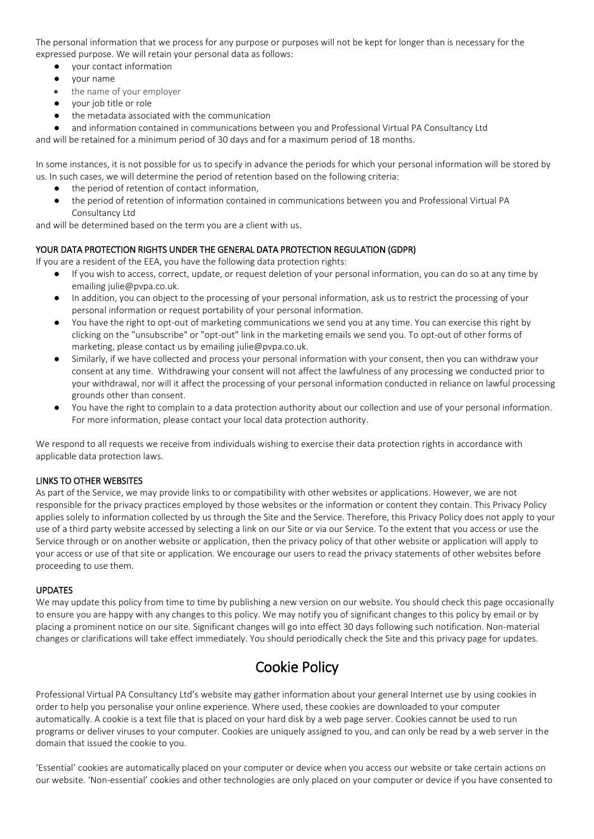The personal information that we process for any purpose or purposes will not be kept for longer than is necessary for the expressed purpose. We will retain your personal data as follows:

- your contact information
- your name
- the name of your employer
- your job title or role
- the metadata associated with the communication
- and information contained in communications between you and Professional Virtual PA Consultancy Ltd

and will be retained for a minimum period of 30 days and for a maximum period of 18 months.

In some instances, it is not possible for us to specify in advance the periods for which your personal information will be stored by us. In such cases, we will determine the period of retention based on the following criteria:

- the period of retention of contact information,
- the period of retention of information contained in communications between you and Professional Virtual PA Consultancy Ltd

and will be determined based on the term you are a client with us.

## YOUR DATA PROTECTION RIGHTS UNDER THE GENERAL DATA PROTECTION REGULATION (GDPR)

If you are a resident of the EEA, you have the following data protection rights:

- If you wish to access, correct, update, or request deletion of your personal information, you can do so at any time by emailing julie@pvpa.co.uk.
- In addition, you can object to the processing of your personal information, ask us to restrict the processing of your personal information or request portability of your personal information.
- You have the right to opt-out of marketing communications we send you at any time. You can exercise this right by clicking on the "unsubscribe" or "opt-out" link in the marketing emails we send you. To opt-out of other forms of marketing, please contact us by emailing julie@pvpa.co.uk.
- Similarly, if we have collected and process your personal information with your consent, then you can withdraw your consent at any time. Withdrawing your consent will not affect the lawfulness of any processing we conducted prior to your withdrawal, nor will it affect the processing of your personal information conducted in reliance on lawful processing grounds other than consent.
- You have the right to complain to a data protection authority about our collection and use of your personal information. For more information, please contact your local data protection authority.

We respond to all requests we receive from individuals wishing to exercise their data protection rights in accordance with applicable data protection laws.

#### LINKS TO OTHER WEBSITES

As part of the Service, we may provide links to or compatibility with other websites or applications. However, we are not responsible for the privacy practices employed by those websites or the information or content they contain. This Privacy Policy applies solely to information collected by us through the Site and the Service. Therefore, this Privacy Policy does not apply to your use of a third party website accessed by selecting a link on our Site or via our Service. To the extent that you access or use the Service through or on another website or application, then the privacy policy of that other website or application will apply to your access or use of that site or application. We encourage our users to read the privacy statements of other websites before proceeding to use them.

#### UPDATES

We may update this policy from time to time by publishing a new version on our website. You should check this page occasionally to ensure you are happy with any changes to this policy. We may notify you of significant changes to this policy by email or by placing a prominent notice on our site. Significant changes will go into effect 30 days following such notification. Non-material changes or clarifications will take effect immediately. You should periodically check the Site and this privacy page for updates.

# Cookie Policy

Professional Virtual PA Consultancy Ltd's website may gather information about your general Internet use by using cookies in order to help you personalise your online experience. Where used, these cookies are downloaded to your computer automatically. A cookie is a text file that is placed on your hard disk by a web page server. Cookies cannot be used to run programs or deliver viruses to your computer. Cookies are uniquely assigned to you, and can only be read by a web server in the domain that issued the cookie to you.

'Essential' cookies are automatically placed on your computer or device when you access our website or take certain actions on our website. 'Non-essential' cookies and other technologies are only placed on your computer or device if you have consented to